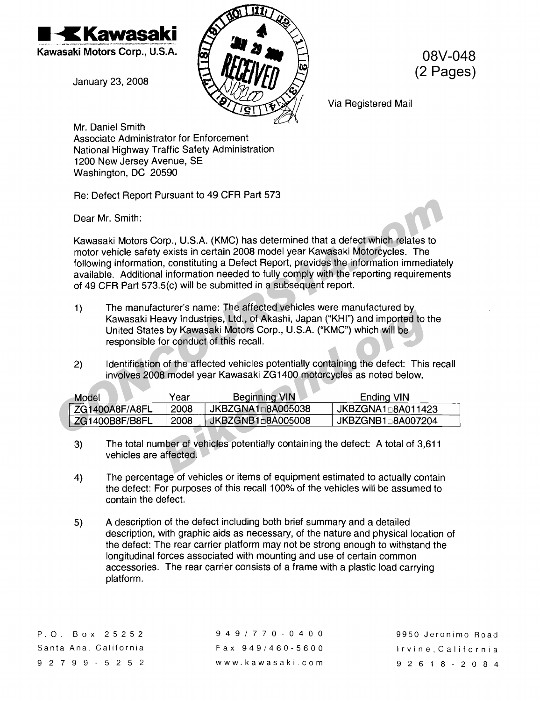

January 23, 2008



08V-048 (2 Pages)

Via Registered Mail

Mr. Daniel Smith Associate Administrator for Enforcement National Highway Traffic Safety Administration 1200 New Jersey Avenue, SE Washington, DC 20590

Re: Defect Report Pursuant to 49 CFR Part 573

Dear Mr. Smith:

Kawasaki Motors Corp., U.S.A. (KMC) has determined that a defect which relates to motor vehicle safety exists in certain 2008 model year Kawasaki Motorcycles. The following information, constituting a Defect Report, provides the information immediately available. Additional information needed to fully comply with the reporting requirements of 49 CFR Part 573.5(c) will be submitted in a subsequent report. Dear Mr. Smith:<br>
Kawasaki Motors Corp., U.S.A. (KMC) has determined that a defect which relates to<br>
motor vehicle safety exists in certain 2008 model year Kawasaki Motorcycles. The<br>
following information, constituting a De

- 1) The manufacturer's name: The affected vehicles were manufactured by Kawasaki Heavy Industries, Ltd., of Akashi, Japan ("KHI") and imported to the United States by Kawasaki Motors Corp., U.S.A. ("KMC") which will be responsible for conduct of this recall.
- 2) Identification of the affected vehicles potentially containing the defect: This recall involves 2008 model year Kawasaki ZG1400 motorcycles as noted below.

| Kawasaki Heavy Industries, Ltd., of Akashi, Japan ("KHI") and imported to the<br>United States by Kawasaki Motors Corp., U.S.A. ("KMC") which will be<br>responsible for conduct of this recall. |      |                      |                   |
|--------------------------------------------------------------------------------------------------------------------------------------------------------------------------------------------------|------|----------------------|-------------------|
| Identification of the affected vehicles potentially containing the defect: This recall<br>2)<br>involves 2008 model year Kawasaki ZG1400 motorcycles as noted below.                             |      |                      |                   |
| Model                                                                                                                                                                                            | Year | <b>Beginning VIN</b> | Ending VIN        |
| ZG1400A8F/A8FL                                                                                                                                                                                   | 2008 | JKBZGNA1□8A005038    | JKBZGNA1□8A011423 |
| ZG1400B8F/B8FL                                                                                                                                                                                   | 2008 | JKBZGNB1□8A005008    | JKBZGNB1□8A007204 |
| The total number of vehicles potentially containing the defect: A total of 3,611<br>3)<br>vehicles are affected.                                                                                 |      |                      |                   |
|                                                                                                                                                                                                  |      |                      |                   |

- 3) The total number of vehicles potentially containing the defect: A total of 3,611 vehicles are affected.
- 4) The percentage of vehicles or items of equipment estimated to actually contain the defect: For purposes of this recall 100% of the vehicles will be assumed to contain the defect.
- 5) A description of the defect including both brief summary and a detailed description, with graphic aids as necessary, of the nature and physical location of the defect: The rear carrier platform may not be strong enough to withstand the longitudinal forces associated with mounting and use of certain common accessories. The rear carrier consists of a frame with a plastic load carrying platform.

9491770-0400 Fax 9491460-5600 www. kawasaki.com

9950 Jeronimo Road Irvine,California 92618-2084